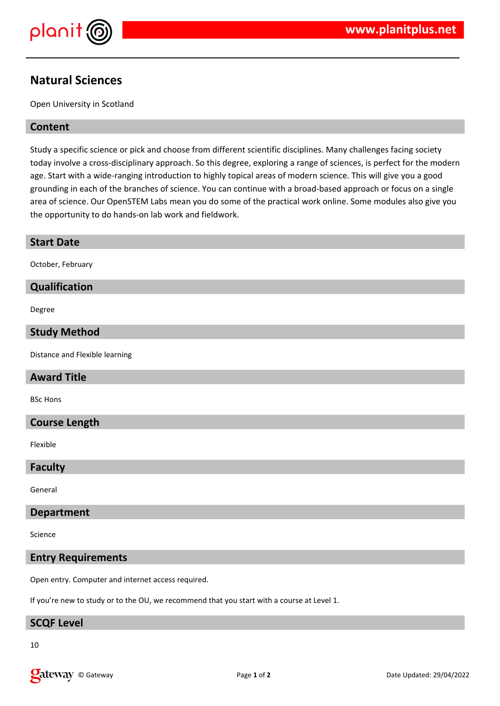

© Gateway Page **1** of **2** Date Updated: 29/04/2022

# **Natural Sciences**

Open University in Scotland

## **Content**

**Start Date**

October, February

**Qualification**

**Study Method**

**Award Title**

**Course Length**

BSc Hons

Flexible

Distance and Flexible learning

Degree

Study a specific science or pick and choose from different scientific disciplines. Many challenges facing society today involve a cross-disciplinary approach. So this degree, exploring a range of sciences, is perfect for the modern age. Start with a wide-ranging introduction to highly topical areas of modern science. This will give you a good grounding in each of the branches of science. You can continue with a broad-based approach or focus on a single area of science. Our OpenSTEM Labs mean you do some of the practical work online. Some modules also give you the opportunity to do hands-on lab work and fieldwork.

| <b>Faculty</b>                                                                             |  |
|--------------------------------------------------------------------------------------------|--|
| General                                                                                    |  |
| <b>Department</b>                                                                          |  |
| Science                                                                                    |  |
| <b>Entry Requirements</b>                                                                  |  |
| Open entry. Computer and internet access required.                                         |  |
| If you're new to study or to the OU, we recommend that you start with a course at Level 1. |  |
| <b>SCQF Level</b>                                                                          |  |
| 10                                                                                         |  |
| <b>L</b> ateway<br>© Gateway<br>Page 1 of 2                                                |  |
|                                                                                            |  |
|                                                                                            |  |